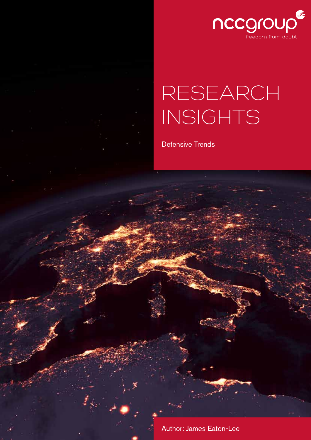

### RESEARCH INSIGHTS

Defensive Trends

Author: James Eaton-Lee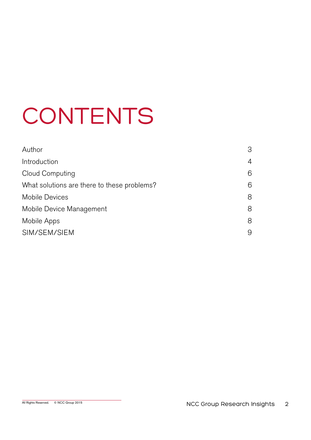## CONTENTS

| Author                                      | 3 |
|---------------------------------------------|---|
| Introduction                                | 4 |
| Cloud Computing                             | 6 |
| What solutions are there to these problems? | 6 |
| <b>Mobile Devices</b>                       | 8 |
| Mobile Device Management                    | 8 |
| Mobile Apps                                 | 8 |
| SIM/SEM/SIEM                                | 9 |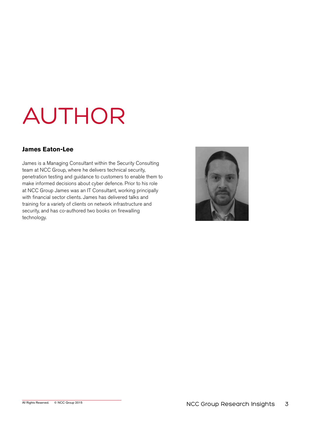### AUTHOR

#### **James Eaton-Lee**

James is a Managing Consultant within the Security Consulting team at NCC Group, where he delivers technical security, penetration testing and guidance to customers to enable them to make informed decisions about cyber defence. Prior to his role at NCC Group James was an IT Consultant, working principally with financial sector clients. James has delivered talks and training for a variety of clients on network infrastructure and security, and has co-authored two books on firewalling technology.

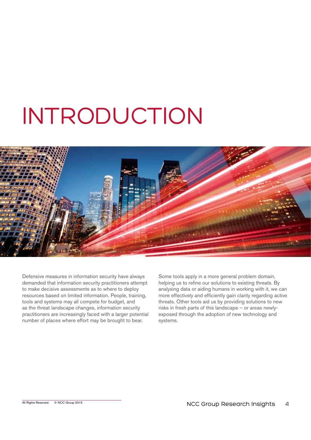### INTRODUCTION



Defensive measures in information security have always demanded that information security practitioners attempt to make decisive assessments as to where to deploy resources based on limited information. People, training, tools and systems may all compete for budget, and as the threat landscape changes, information security practitioners are increasingly faced with a larger potential number of places where effort may be brought to bear.

Some tools apply in a more general problem domain, helping us to refine our solutions to existing threats. By analysing data or aiding humans in working with it, we can more effectively and efficiently gain clarity regarding active threats. Other tools aid us by providing solutions to new risks in fresh parts of this landscape – or areas newlyexposed through the adoption of new technology and systems.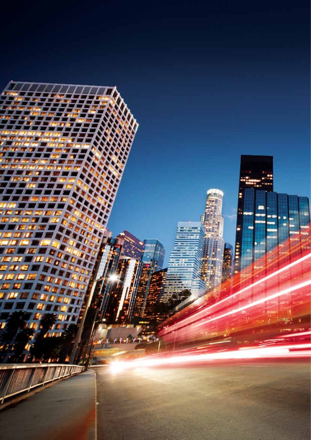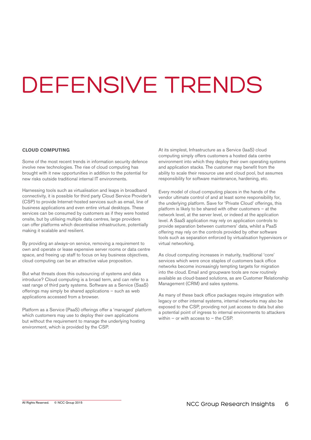# DEFENSIVE TRENDS

#### **CLOUD COMPUTING**

Some of the most recent trends in information security defence involve new technologies. The rise of cloud computing has brought with it new opportunities in addition to the potential for new risks outside traditional internal IT environments.

Harnessing tools such as virtualisation and leaps in broadband connectivity, it is possible for third party Cloud Service Provider's (CSP) to provide Internet-hosted services such as email, line of business applications and even entire virtual desktops. These services can be consumed by customers as if they were hosted onsite, but by utilising multiple data centres, large providers can offer platforms which decentralise infrastructure, potentially making it scalable and resilient.

By providing an always-on service, removing a requirement to own and operate or lease expensive server rooms or data centre space, and freeing up staff to focus on key business objectives, cloud computing can be an attractive value proposition.

But what threats does this outsourcing of systems and data introduce? Cloud computing is a broad term, and can refer to a vast range of third party systems. Software as a Service (SaaS) offerings may simply be shared applications – such as web applications accessed from a browser.

Platform as a Service (PaaS) offerings offer a 'managed' platform which customers may use to deploy their own applications but without the requirement to manage the underlying hosting environment, which is provided by the CSP.

At its simplest, Infrastructure as a Service (IaaS) cloud computing simply offers customers a hosted data centre environment into which they deploy their own operating systems and application stacks. The customer may benefit from the ability to scale their resource use and cloud pool, but assumes responsibility for software maintenance, hardening, etc.

Every model of cloud computing places in the hands of the vendor ultimate control of and at least some responsibility for, the underlying platform. Save for 'Private Cloud' offerings, this platform is likely to be shared with other customers – at the network level, at the server level, or indeed at the application level. A SaaS application may rely on application controls to provide separation between customers' data, whilst a PaaS offering may rely on the controls provided by other software tools such as separation enforced by virtualisation hypervisors or virtual networking.

As cloud computing increases in maturity, traditional 'core' services which were once staples of customers back office networks become increasingly tempting targets for migration into the cloud. Email and groupware tools are now routinely available as cloud-based solutions, as are Customer Relationship Management (CRM) and sales systems.

As many of these back office packages require integration with legacy or other internal systems, internal networks may also be exposed to the CSP, providing not just access to data but also a potential point of ingress to internal environments to attackers within – or with access to – the CSP.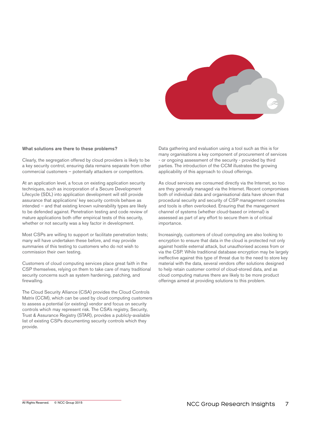

#### What solutions are there to these problems?

Clearly, the segregation offered by cloud providers is likely to be a key security control, ensuring data remains separate from other commercial customers – potentially attackers or competitors.

At an application level, a focus on existing application security techniques, such as incorporation of a Secure Development Lifecycle (SDL) into application development will still provide assurance that applications' key security controls behave as intended – and that existing known vulnerability types are likely to be defended against. Penetration testing and code review of mature applications both offer empirical tests of this security, whether or not security was a key factor in development.

Most CSPs are willing to support or facilitate penetration tests; many will have undertaken these before, and may provide summaries of this testing to customers who do not wish to commission their own testing.

Customers of cloud computing services place great faith in the CSP themselves, relying on them to take care of many traditional security concerns such as system hardening, patching, and firewalling.

The Cloud Security Alliance (CSA) provides the Cloud Controls Matrix (CCM), which can be used by cloud computing customers to assess a potential (or existing) vendor and focus on security controls which may represent risk. The CSA's registry, Security, Trust & Assurance Registry (STAR), provides a publicly-available list of existing CSPs documenting security controls which they provide.

Data gathering and evaluation using a tool such as this is for many organisations a key component of procurement of services - or ongoing assessment of the security - provided by third parties. The introduction of the CCM illustrates the growing applicability of this approach to cloud offerings.

As cloud services are consumed directly via the Internet, so too are they generally managed via the Internet. Recent compromises both of individual data and organisational data have shown that procedural security and security of CSP management consoles and tools is often overlooked. Ensuring that the management channel of systems (whether cloud-based or internal) is assessed as part of any effort to secure them is of critical importance.

Increasingly, customers of cloud computing are also looking to encryption to ensure that data in the cloud is protected not only against hostile external attack, but unauthorised access from or via the CSP. While traditional database encryption may be largely ineffective against this type of threat due to the need to store key material with the data, several vendors offer solutions designed to help retain customer control of cloud-stored data, and as cloud computing matures there are likely to be more product offerings aimed at providing solutions to this problem.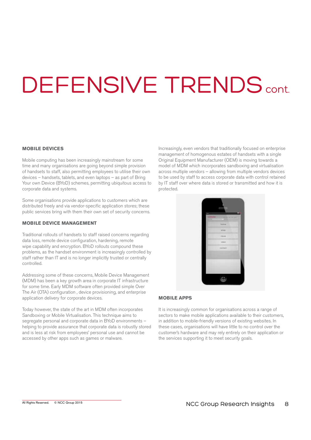# DEFENSIVE TRENDS cont.

#### **MOBILE DEVICES**

Mobile computing has been increasingly mainstream for some time and many organisations are going beyond simple provision of handsets to staff, also permitting employees to utilise their own devices – handsets, tablets, and even laptops – as part of Bring Your own Device (BYoD) schemes, permitting ubiquitous access to corporate data and systems.

Some organisations provide applications to customers which are distributed freely and via vendor-specific application stores; these public services bring with them their own set of security concerns.

#### **MOBILE DEVICE MANAGEMENT**

Traditional rollouts of handsets to staff raised concerns regarding data loss, remote device configuration, hardening, remote wipe capability and encryption. BYoD rollouts compound these problems, as the handset environment is increasingly controlled by staff rather than IT and is no longer implicitly trusted or centrally controlled.

Addressing some of these concerns, Mobile Device Management (MDM) has been a key growth area in corporate IT infrastructure for some time. Early MDM software often provided simple Over The Air (OTA) configuration , device provisioning, and enterprise application delivery for corporate devices.

Today however, the state of the art in MDM often incorporates Sandboxing or Mobile Virtualisation. This technique aims to segregate personal and corporate data in BYoD environments – helping to provide assurance that corporate data is robustly stored and is less at risk from employees' personal use and cannot be accessed by other apps such as games or malware.

Increasingly, even vendors that traditionally focused on enterprise management of homogenous estates of handsets with a single Original Equipment Manufacturer (OEM) is moving towards a model of MDM which incorporates sandboxing and virtualisation across multiple vendors – allowing from multiple vendors devices to be used by staff to access corporate data with control retained by IT staff over where data is stored or transmitted and how it is protected.

| wetterta |                   |  |
|----------|-------------------|--|
|          |                   |  |
|          | hóme              |  |
|          | WEED.             |  |
|          | <b>Fillmid</b> 11 |  |
|          | yideo             |  |
|          | medici.           |  |
|          |                   |  |
|          |                   |  |
|          |                   |  |
|          |                   |  |

#### **MOBILE APPS**

It is increasingly common for organisations across a range of sectors to make mobile applications available to their customers, in addition to mobile-friendly versions of existing websites. In these cases, organisations will have little to no control over the customer's hardware and may rely entirely on their application or the services supporting it to meet security goals.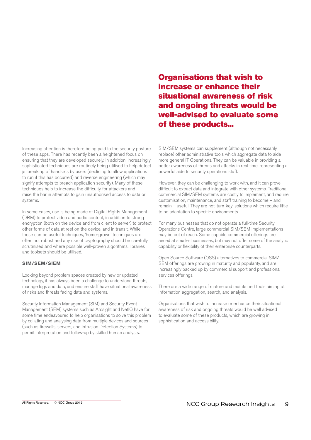Increasing attention is therefore being paid to the security posture of these apps. There has recently been a heightened focus on ensuring that they are developed securely. In addition, increasingly sophisticated techniques are routinely being utilised to help detect jailbreaking of handsets by users (declining to allow applications to run if this has occurred) and reverse engineering (which may signify attempts to breach application security). Many of these techniques help to increase the difficulty for attackers and raise the bar in attempts to gain unauthorised access to data or systems.

In some cases, use is being made of Digital Rights Management (DRM) to protect video and audio content, in addition to strong encryption (both on the device and from client to server) to protect other forms of data at rest on the device, and in transit. While these can be useful techniques, 'home-grown' techniques are often not robust and any use of cryptography should be carefully scrutinised and where possible well-proven algorithms, libraries and toolsets should be utilised.

#### **SIM/SEM/SIEM**

Looking beyond problem spaces created by new or updated technology, it has always been a challenge to understand threats, manage logs and data, and ensure staff have situational awareness of risks and threats facing data and systems.

Security Information Management (SIM) and Security Event Management (SEM) systems such as Arcsight and NetIQ have for some time endeavoured to help organisations to solve this problem by collating and analysing data from multiple devices and sources (such as firewalls, servers, and Intrusion Detection Systems) to permit interpretation and follow-up by skilled human analysts.

Organisations that wish to increase or enhance their situational awareness of risk and ongoing threats would be well-advised to evaluate some of these products...

SIM/SEM systems can supplement (although not necessarily replace) other administrative tools which aggregate data to aide more general IT Operations. They can be valuable in providing a better awareness of threats and attacks in real time, representing a powerful aide to security operations staff.

However, they can be challenging to work with, and it can prove difficult to extract data and integrate with other systems. Traditional commercial SIM/SEM systems are costly to implement, and require customisation, maintenance, and staff training to become – and remain – useful. They are not 'turn-key' solutions which require little to no adaptation to specific environments.

For many businesses that do not operate a full-time Security Operations Centre, large commercial SIM/SEM implementations may be out of reach. Some capable commercial offerings are aimed at smaller businesses, but may not offer some of the analytic capability or flexibility of their enterprise counterparts.

Open Source Software (OSS) alternatives to commercial SIM/ SEM offerings are growing in maturity and popularity, and are increasingly backed up by commercial support and professional services offerings.

There are a wide range of mature and maintained tools aiming at information aggregation, search, and analysis.

Organisations that wish to increase or enhance their situational awareness of risk and ongoing threats would be well advised to evaluate some of these products, which are growing in sophistication and accessibility.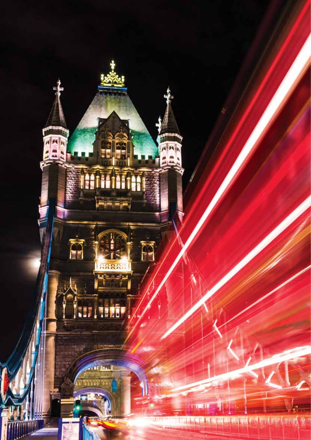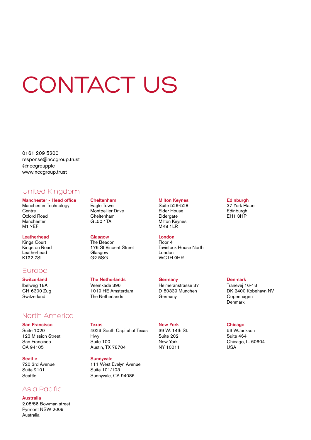# CONTACT US

0161 209 5200 response@nccgroup.trust @nccgroupplc www.nccgroup.trust

#### United Kingdom

Manchester - Head office Manchester Technology Centre Oxford Road Manchester M1 7EF

Leatherhead Kings Court Kingston Road **Leatherhead** KT22 7SL

#### Europe

**Switzerland** Ibelweg 18A CH-6300 Zug Switzerland

#### North America

San Francisco

Suite 1020 123 Mission Street San Francisco CA 94105

Seattle 720 3rd Avenue Suite 2101 Seattle

#### Asia Pacific

Australia 2.08/56 Bowman street Pyrmont NSW 2009 Australia

Cheltenham Eagle Tower Montpellier Drive Cheltenham GL50 1TA

**Glasgow** The Beacon 176 St Vincent Street Glasgow G2 5SG

#### The Netherlands

Veemkade 396 1019 HE Amsterdam The Netherlands

#### Texas

4029 South Capital of Texas Hwy Suite 100 Austin, TX 78704

#### **Sunnyvale**

111 West Evelyn Avenue Suite 101/103 Sunnyvale, CA 94086

#### Milton Keynes

Suite 526-528 Elder House Eldergate Milton Keynes MK9 1LR

#### London

Floor 4 Tavistock House North London WC1H 9HR

#### **Germany**

Heimeranstrasse 37 D-80339 Munchen Germany

#### New York

39 W. 14th St. Suite 202 New York NY 10011

#### Edinburgh

37 York Place Edinburgh EH1 3HP

#### **Denmark**

Tranevej 16-18 DK-2400 Kobehavn NV Copenhagen **Denmark** 

#### **Chicago**

53 W.Jackson Suite 464 Chicago, IL 60604 USA